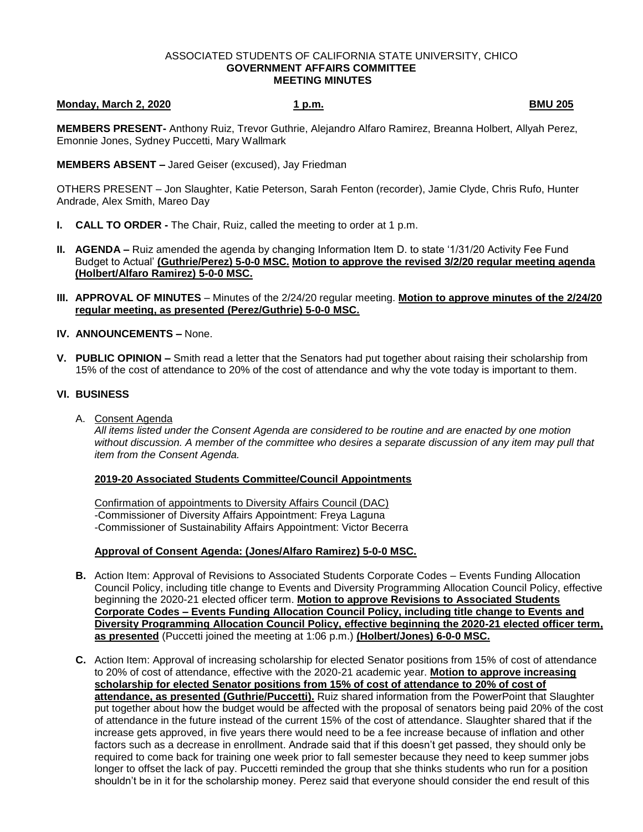#### ASSOCIATED STUDENTS OF CALIFORNIA STATE UNIVERSITY, CHICO **GOVERNMENT AFFAIRS COMMITTEE MEETING MINUTES**

# **Monday, March 2, 2020 1 p.m. BMU 205**

**MEMBERS PRESENT-** Anthony Ruiz, Trevor Guthrie, Alejandro Alfaro Ramirez, Breanna Holbert, Allyah Perez, Emonnie Jones, Sydney Puccetti, Mary Wallmark

#### **MEMBERS ABSENT –** Jared Geiser (excused), Jay Friedman

OTHERS PRESENT – Jon Slaughter, Katie Peterson, Sarah Fenton (recorder), Jamie Clyde, Chris Rufo, Hunter Andrade, Alex Smith, Mareo Day

- **I. CALL TO ORDER -** The Chair, Ruiz, called the meeting to order at 1 p.m.
- **II. AGENDA –** Ruiz amended the agenda by changing Information Item D. to state '1/31/20 Activity Fee Fund Budget to Actual' **(Guthrie/Perez) 5-0-0 MSC. Motion to approve the revised 3/2/20 regular meeting agenda (Holbert/Alfaro Ramirez) 5-0-0 MSC.**
- **III. APPROVAL OF MINUTES** Minutes of the 2/24/20 regular meeting. **Motion to approve minutes of the 2/24/20 regular meeting, as presented (Perez/Guthrie) 5-0-0 MSC.**
- **IV. ANNOUNCEMENTS –** None.
- **V. PUBLIC OPINION –** Smith read a letter that the Senators had put together about raising their scholarship from 15% of the cost of attendance to 20% of the cost of attendance and why the vote today is important to them.

## **VI. BUSINESS**

A. Consent Agenda

*All items listed under the Consent Agenda are considered to be routine and are enacted by one motion without discussion. A member of the committee who desires a separate discussion of any item may pull that item from the Consent Agenda.* 

### **2019-20 Associated Students Committee/Council Appointments**

Confirmation of appointments to Diversity Affairs Council (DAC) -Commissioner of Diversity Affairs Appointment: Freya Laguna -Commissioner of Sustainability Affairs Appointment: Victor Becerra

# **Approval of Consent Agenda: (Jones/Alfaro Ramirez) 5-0-0 MSC.**

- **B.** Action Item: Approval of Revisions to Associated Students Corporate Codes Events Funding Allocation Council Policy, including title change to Events and Diversity Programming Allocation Council Policy, effective beginning the 2020-21 elected officer term. **Motion to approve Revisions to Associated Students Corporate Codes – Events Funding Allocation Council Policy, including title change to Events and Diversity Programming Allocation Council Policy, effective beginning the 2020-21 elected officer term, as presented** (Puccetti joined the meeting at 1:06 p.m.) **(Holbert/Jones) 6-0-0 MSC.**
- **C.** Action Item: Approval of increasing scholarship for elected Senator positions from 15% of cost of attendance to 20% of cost of attendance, effective with the 2020-21 academic year. **Motion to approve increasing scholarship for elected Senator positions from 15% of cost of attendance to 20% of cost of attendance, as presented (Guthrie/Puccetti).** Ruiz shared information from the PowerPoint that Slaughter put together about how the budget would be affected with the proposal of senators being paid 20% of the cost of attendance in the future instead of the current 15% of the cost of attendance. Slaughter shared that if the increase gets approved, in five years there would need to be a fee increase because of inflation and other factors such as a decrease in enrollment. Andrade said that if this doesn't get passed, they should only be required to come back for training one week prior to fall semester because they need to keep summer jobs longer to offset the lack of pay. Puccetti reminded the group that she thinks students who run for a position shouldn't be in it for the scholarship money. Perez said that everyone should consider the end result of this